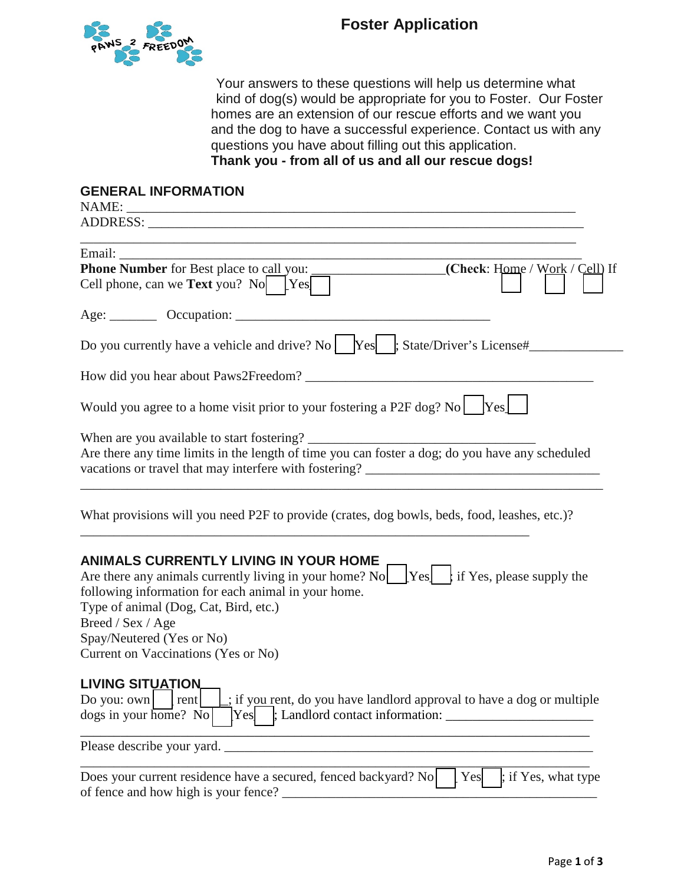

Your answers to these questions will help us determine what kind of dog(s) would be appropriate for you to Foster. Our Foster homes are an extension of our rescue efforts and we want you and the dog to have a successful experience. Contact us with any questions you have about filling out this application. **Thank you - from all of us and all our rescue dogs!**

## **GENERAL INFORMATION**

NAME: \_\_\_\_\_\_\_\_\_\_\_\_\_\_\_\_\_\_\_\_\_\_\_\_\_\_\_\_\_\_\_\_\_\_\_\_\_\_\_\_\_\_\_\_\_\_\_\_\_\_\_\_\_\_\_\_\_\_\_\_\_\_\_\_\_\_\_ ADDRESS: \_\_\_\_\_\_\_\_\_\_\_\_\_\_\_\_\_\_\_\_\_\_\_\_\_\_\_\_\_\_\_\_\_\_\_\_\_\_\_\_\_\_\_\_\_\_\_\_\_\_\_\_\_\_\_\_\_\_\_\_\_\_\_\_\_

| Email:                                                                                                                                                                                                                                                                                                                                                                       |
|------------------------------------------------------------------------------------------------------------------------------------------------------------------------------------------------------------------------------------------------------------------------------------------------------------------------------------------------------------------------------|
| Phone Number for Best place to call you:<br>(Check: Home / Work / Cell) If                                                                                                                                                                                                                                                                                                   |
| Cell phone, can we <b>Text</b> you? No $\Gamma$ Yes                                                                                                                                                                                                                                                                                                                          |
| Age: Cocupation: COCUPATION                                                                                                                                                                                                                                                                                                                                                  |
| Do you currently have a vehicle and drive? No    Yes   ; State/Driver's License#                                                                                                                                                                                                                                                                                             |
|                                                                                                                                                                                                                                                                                                                                                                              |
| Would you agree to a home visit prior to your fostering a P2F dog? No Yes                                                                                                                                                                                                                                                                                                    |
|                                                                                                                                                                                                                                                                                                                                                                              |
| Are there any time limits in the length of time you can foster a dog; do you have any scheduled                                                                                                                                                                                                                                                                              |
|                                                                                                                                                                                                                                                                                                                                                                              |
| What provisions will you need P2F to provide (crates, dog bowls, beds, food, leashes, etc.)?                                                                                                                                                                                                                                                                                 |
| ANIMALS CURRENTLY LIVING IN YOUR HOME<br>Are there any animals currently living in your home? No $\begin{bmatrix} \text{Yes} \\ \text{Yes} \end{bmatrix}$ if Yes, please supply the<br>following information for each animal in your home.<br>Type of animal (Dog, Cat, Bird, etc.)<br>Breed / Sex / Age<br>Spay/Neutered (Yes or No)<br>Current on Vaccinations (Yes or No) |
| <b>LIVING SITUATION.</b><br>Do you: $own$ $ $ rent<br>: if you rent, do you have landlord approval to have a dog or multiple<br>$\log s$ in your home? No                                                                                                                                                                                                                    |
| Please describe your yard.                                                                                                                                                                                                                                                                                                                                                   |
| Does your current residence have a secured, fenced backyard? No<br>Yes<br>$\frac{1}{2}$ ; if Yes, what type                                                                                                                                                                                                                                                                  |

of fence and how high is your fence? \_\_\_\_\_\_\_\_\_\_\_\_\_\_\_\_\_\_\_\_\_\_\_\_\_\_\_\_\_\_\_\_\_\_\_\_\_\_\_\_\_\_\_\_\_\_\_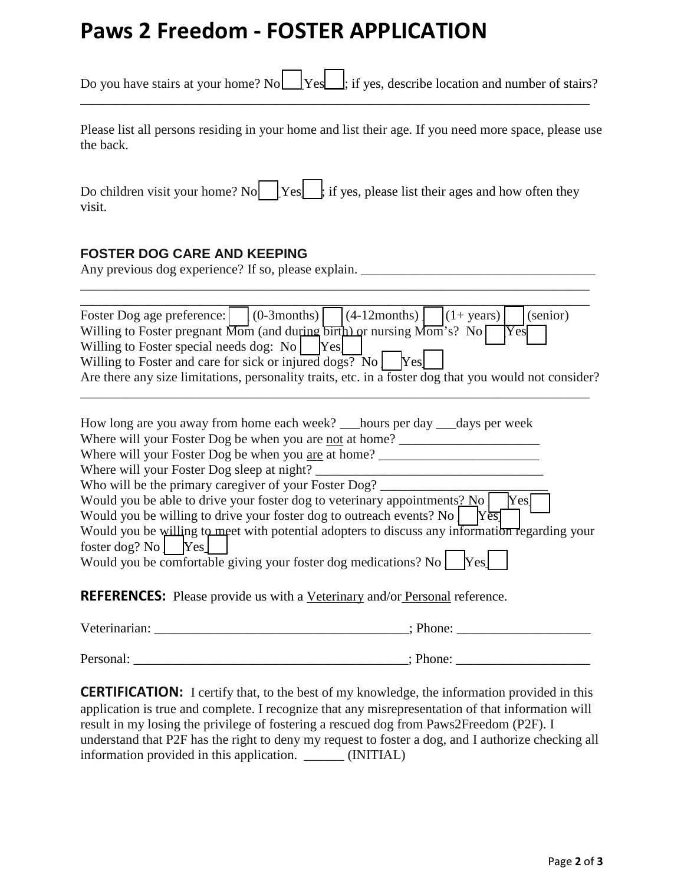## **Paws 2 Freedom - FOSTER APPLICATION**

| Do you have stairs at your home? No $\Box$ Yes $\Box$ ; if yes, describe location and number of stairs?                                                                              |  |  |
|--------------------------------------------------------------------------------------------------------------------------------------------------------------------------------------|--|--|
| Please list all persons residing in your home and list their age. If you need more space, please use<br>the back.                                                                    |  |  |
| Do children visit your home? No $ Yes $ if yes, please list their ages and how often they<br>visit.                                                                                  |  |  |
| <b>FOSTER DOG CARE AND KEEPING</b><br>Any previous dog experience? If so, please explain.                                                                                            |  |  |
| $(0-3$ months)<br>$(4-12$ months)<br>(senior)<br>$(1 + \text{years})$<br>Foster Dog age preference:<br>Willing to Foster pregnant Mom (and during birth) or nursing Mom's? No<br>Yes |  |  |

Willing to Foster and care for sick or injured dogs? No  $\begin{bmatrix} \n\text{Yes} \n\end{bmatrix}$ Are there any size limitations, personality traits, etc. in a foster dog that you would not consider?

Willing to Foster special needs dog:  $\text{No}$  | Yes

| How long are you away from home each week? hours per day days per week                                                                                                   |
|--------------------------------------------------------------------------------------------------------------------------------------------------------------------------|
| Where will your Foster Dog be when you are not at home?                                                                                                                  |
| Where will your Foster Dog be when you are at home?                                                                                                                      |
| Where will your Foster Dog sleep at night?                                                                                                                               |
| Who will be the primary caregiver of your Foster Dog?                                                                                                                    |
| Would you be able to drive your foster dog to veterinary appointments? No<br>Yesl<br>Would you be willing to drive your foster dog to outreach events? No<br>$Y\bar{e}s$ |
| Would you be willing to meet with potential adopters to discuss any information regarding your                                                                           |
| foster dog? No $ $ Yes                                                                                                                                                   |
| Would you be comfortable giving your foster dog medications? No<br>Yes                                                                                                   |
| <b>REFERENCES:</b> Please provide us with a Veterinary and/or Personal reference.                                                                                        |

Veterinarian: \_\_\_\_\_\_\_\_\_\_\_\_\_\_\_\_\_\_\_\_\_\_\_\_\_\_\_\_\_\_\_\_\_\_\_\_\_\_; Phone: \_\_\_\_\_\_\_\_\_\_\_\_\_\_\_\_\_\_\_\_ Personal: \_\_\_\_\_\_\_\_\_\_\_\_\_\_\_\_\_\_\_\_\_\_\_\_\_\_\_\_\_\_\_\_\_\_\_\_\_\_\_\_\_; Phone: \_\_\_\_\_\_\_\_\_\_\_\_\_\_\_\_\_\_\_\_

**CERTIFICATION:** I certify that, to the best of my knowledge, the information provided in this application is true and complete. I recognize that any misrepresentation of that information will result in my losing the privilege of fostering a rescued dog from Paws2Freedom (P2F). I understand that P2F has the right to deny my request to foster a dog, and I authorize checking all information provided in this application. \_\_\_\_\_\_ (INITIAL)